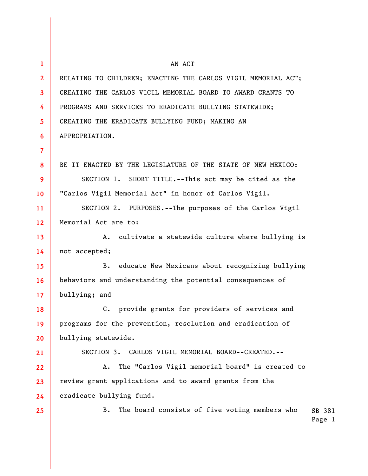| $\mathbf{1}$    | AN ACT                                                         |                  |
|-----------------|----------------------------------------------------------------|------------------|
| 2 <sup>2</sup>  | RELATING TO CHILDREN; ENACTING THE CARLOS VIGIL MEMORIAL ACT;  |                  |
| $\mathbf{3}$    | CREATING THE CARLOS VIGIL MEMORIAL BOARD TO AWARD GRANTS TO    |                  |
| 4               | PROGRAMS AND SERVICES TO ERADICATE BULLYING STATEWIDE;         |                  |
| 5 <sup>5</sup>  | CREATING THE ERADICATE BULLYING FUND; MAKING AN                |                  |
| 6               | APPROPRIATION.                                                 |                  |
| $\overline{7}$  |                                                                |                  |
| 8               | BE IT ENACTED BY THE LEGISLATURE OF THE STATE OF NEW MEXICO:   |                  |
| 9               | SECTION 1. SHORT TITLE.--This act may be cited as the          |                  |
| 10 <sup>°</sup> | "Carlos Vigil Memorial Act" in honor of Carlos Vigil.          |                  |
| 11              | SECTION 2. PURPOSES.--The purposes of the Carlos Vigil         |                  |
| 12              | Memorial Act are to:                                           |                  |
| 13              | cultivate a statewide culture where bullying is<br>A.          |                  |
| 14              | not accepted;                                                  |                  |
| 15              | <b>B.</b><br>educate New Mexicans about recognizing bullying   |                  |
| 16              | behaviors and understanding the potential consequences of      |                  |
| 17              | bullying; and                                                  |                  |
| 18              | provide grants for providers of services and<br>$\mathsf{C}$ . |                  |
| 19              | programs for the prevention, resolution and eradication of     |                  |
| 20              | bullying statewide.                                            |                  |
| 21              | SECTION 3. CARLOS VIGIL MEMORIAL BOARD--CREATED.--             |                  |
| 22              | The "Carlos Vigil memorial board" is created to<br>Α.          |                  |
| 23              | review grant applications and to award grants from the         |                  |
| 24              | eradicate bullying fund.                                       |                  |
| 25              | <b>B.</b><br>The board consists of five voting members who     | SB 381<br>Page 1 |
|                 |                                                                |                  |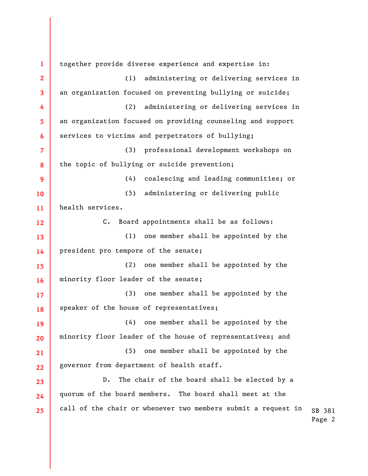SB 381 Page 2 **1 2 3 4 5 6 7 8 9 10 11 12 13 14 15 16 17 18 19 20 21 22 23 24 25**  together provide diverse experience and expertise in: (1) administering or delivering services in an organization focused on preventing bullying or suicide; (2) administering or delivering services in an organization focused on providing counseling and support services to victims and perpetrators of bullying; (3) professional development workshops on the topic of bullying or suicide prevention; (4) coalescing and leading communities; or (5) administering or delivering public health services. C. Board appointments shall be as follows: (1) one member shall be appointed by the president pro tempore of the senate; (2) one member shall be appointed by the minority floor leader of the senate; (3) one member shall be appointed by the speaker of the house of representatives; (4) one member shall be appointed by the minority floor leader of the house of representatives; and (5) one member shall be appointed by the governor from department of health staff. D. The chair of the board shall be elected by a quorum of the board members. The board shall meet at the call of the chair or whenever two members submit a request in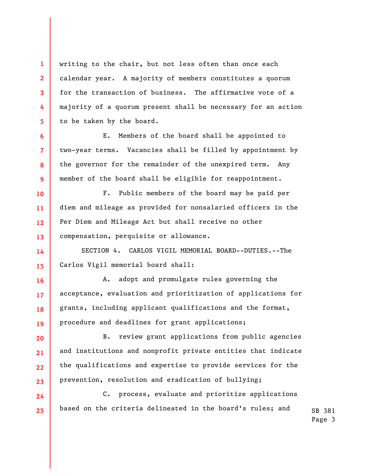writing to the chair, but not less often than once each calendar year. A majority of members constitutes a quorum for the transaction of business. The affirmative vote of a majority of a quorum present shall be necessary for an action to be taken by the board.

**1** 

**2** 

**3** 

**4** 

**5** 

**6** 

**7** 

**8** 

**9** 

**10** 

**11** 

**12** 

**13** 

**14** 

**15** 

**16** 

**17** 

**18** 

**19** 

**20** 

**21** 

**22** 

**23** 

**24** 

**25** 

E. Members of the board shall be appointed to two-year terms. Vacancies shall be filled by appointment by the governor for the remainder of the unexpired term. Any member of the board shall be eligible for reappointment.

F. Public members of the board may be paid per diem and mileage as provided for nonsalaried officers in the Per Diem and Mileage Act but shall receive no other compensation, perquisite or allowance.

SECTION 4. CARLOS VIGIL MEMORIAL BOARD--DUTIES.--The Carlos Vigil memorial board shall:

A. adopt and promulgate rules governing the acceptance, evaluation and prioritization of applications for grants, including applicant qualifications and the format, procedure and deadlines for grant applications;

B. review grant applications from public agencies and institutions and nonprofit private entities that indicate the qualifications and expertise to provide services for the prevention, resolution and eradication of bullying;

C. process, evaluate and prioritize applications based on the criteria delineated in the board's rules; and

SB 381 Page 3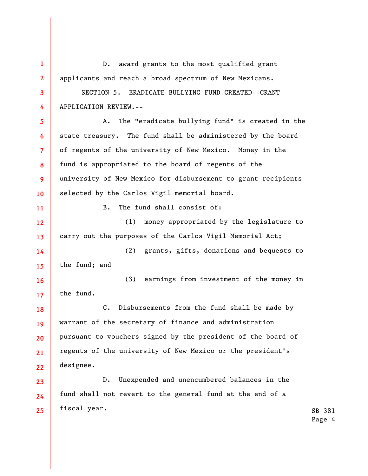**1 2 3 4 5 6 7 8 9 10 11 12 13 14 15 16 17 18 19 20 21 22 23 24 25**  D. award grants to the most qualified grant applicants and reach a broad spectrum of New Mexicans. SECTION 5. ERADICATE BULLYING FUND CREATED--GRANT APPLICATION REVIEW.-- A. The "eradicate bullying fund" is created in the state treasury. The fund shall be administered by the board of regents of the university of New Mexico. Money in the fund is appropriated to the board of regents of the university of New Mexico for disbursement to grant recipients selected by the Carlos Vigil memorial board. B. The fund shall consist of: (1) money appropriated by the legislature to carry out the purposes of the Carlos Vigil Memorial Act; (2) grants, gifts, donations and bequests to the fund; and (3) earnings from investment of the money in the fund. C. Disbursements from the fund shall be made by warrant of the secretary of finance and administration pursuant to vouchers signed by the president of the board of regents of the university of New Mexico or the president's designee. D. Unexpended and unencumbered balances in the fund shall not revert to the general fund at the end of a fiscal year.

SB 381 Page 4